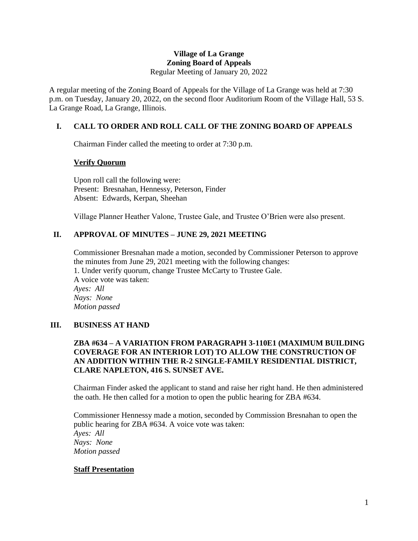#### **Village of La Grange Zoning Board of Appeals** Regular Meeting of January 20, 2022

A regular meeting of the Zoning Board of Appeals for the Village of La Grange was held at 7:30 p.m. on Tuesday, January 20, 2022, on the second floor Auditorium Room of the Village Hall, 53 S. La Grange Road, La Grange, Illinois.

# **I. CALL TO ORDER AND ROLL CALL OF THE ZONING BOARD OF APPEALS**

Chairman Finder called the meeting to order at 7:30 p.m.

### **Verify Quorum**

Upon roll call the following were: Present: Bresnahan, Hennessy, Peterson, Finder Absent: Edwards, Kerpan, Sheehan

Village Planner Heather Valone, Trustee Gale, and Trustee O'Brien were also present.

# **II. APPROVAL OF MINUTES – JUNE 29, 2021 MEETING**

Commissioner Bresnahan made a motion, seconded by Commissioner Peterson to approve the minutes from June 29, 2021 meeting with the following changes: 1. Under verify quorum, change Trustee McCarty to Trustee Gale. A voice vote was taken: *Ayes: All Nays: None Motion passed*

### **III. BUSINESS AT HAND**

### **ZBA #634 – A VARIATION FROM PARAGRAPH 3-110E1 (MAXIMUM BUILDING COVERAGE FOR AN INTERIOR LOT) TO ALLOW THE CONSTRUCTION OF AN ADDITION WITHIN THE R-2 SINGLE-FAMILY RESIDENTIAL DISTRICT, CLARE NAPLETON, 416 S. SUNSET AVE.**

Chairman Finder asked the applicant to stand and raise her right hand. He then administered the oath. He then called for a motion to open the public hearing for ZBA #634.

Commissioner Hennessy made a motion, seconded by Commission Bresnahan to open the public hearing for ZBA #634. A voice vote was taken: *Ayes: All Nays: None Motion passed*

### **Staff Presentation**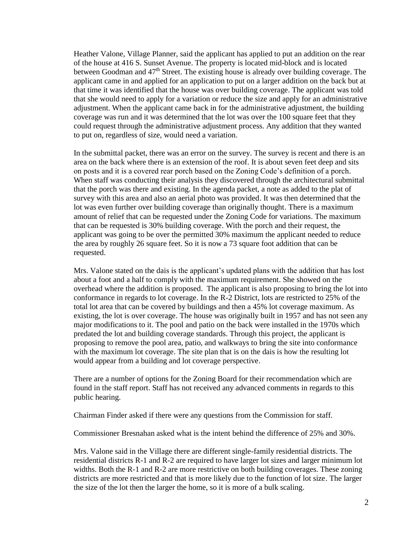Heather Valone, Village Planner, said the applicant has applied to put an addition on the rear of the house at 416 S. Sunset Avenue. The property is located mid-block and is located between Goodman and  $47<sup>th</sup>$  Street. The existing house is already over building coverage. The applicant came in and applied for an application to put on a larger addition on the back but at that time it was identified that the house was over building coverage. The applicant was told that she would need to apply for a variation or reduce the size and apply for an administrative adjustment. When the applicant came back in for the administrative adjustment, the building coverage was run and it was determined that the lot was over the 100 square feet that they could request through the administrative adjustment process. Any addition that they wanted to put on, regardless of size, would need a variation.

In the submittal packet, there was an error on the survey. The survey is recent and there is an area on the back where there is an extension of the roof. It is about seven feet deep and sits on posts and it is a covered rear porch based on the Zoning Code's definition of a porch. When staff was conducting their analysis they discovered through the architectural submittal that the porch was there and existing. In the agenda packet, a note as added to the plat of survey with this area and also an aerial photo was provided. It was then determined that the lot was even further over building coverage than originally thought. There is a maximum amount of relief that can be requested under the Zoning Code for variations. The maximum that can be requested is 30% building coverage. With the porch and their request, the applicant was going to be over the permitted 30% maximum the applicant needed to reduce the area by roughly 26 square feet. So it is now a 73 square foot addition that can be requested.

Mrs. Valone stated on the dais is the applicant's updated plans with the addition that has lost about a foot and a half to comply with the maximum requirement. She showed on the overhead where the addition is proposed. The applicant is also proposing to bring the lot into conformance in regards to lot coverage. In the R-2 District, lots are restricted to 25% of the total lot area that can be covered by buildings and then a 45% lot coverage maximum. As existing, the lot is over coverage. The house was originally built in 1957 and has not seen any major modifications to it. The pool and patio on the back were installed in the 1970s which predated the lot and building coverage standards. Through this project, the applicant is proposing to remove the pool area, patio, and walkways to bring the site into conformance with the maximum lot coverage. The site plan that is on the dais is how the resulting lot would appear from a building and lot coverage perspective.

There are a number of options for the Zoning Board for their recommendation which are found in the staff report. Staff has not received any advanced comments in regards to this public hearing.

Chairman Finder asked if there were any questions from the Commission for staff.

Commissioner Bresnahan asked what is the intent behind the difference of 25% and 30%.

Mrs. Valone said in the Village there are different single-family residential districts. The residential districts R-1 and R-2 are required to have larger lot sizes and larger minimum lot widths. Both the R-1 and R-2 are more restrictive on both building coverages. These zoning districts are more restricted and that is more likely due to the function of lot size. The larger the size of the lot then the larger the home, so it is more of a bulk scaling.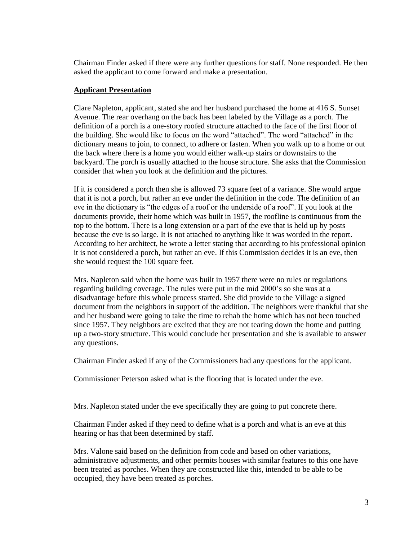Chairman Finder asked if there were any further questions for staff. None responded. He then asked the applicant to come forward and make a presentation.

#### **Applicant Presentation**

Clare Napleton, applicant, stated she and her husband purchased the home at 416 S. Sunset Avenue. The rear overhang on the back has been labeled by the Village as a porch. The definition of a porch is a one-story roofed structure attached to the face of the first floor of the building. She would like to focus on the word "attached". The word "attached" in the dictionary means to join, to connect, to adhere or fasten. When you walk up to a home or out the back where there is a home you would either walk-up stairs or downstairs to the backyard. The porch is usually attached to the house structure. She asks that the Commission consider that when you look at the definition and the pictures.

If it is considered a porch then she is allowed 73 square feet of a variance. She would argue that it is not a porch, but rather an eve under the definition in the code. The definition of an eve in the dictionary is "the edges of a roof or the underside of a roof". If you look at the documents provide, their home which was built in 1957, the roofline is continuous from the top to the bottom. There is a long extension or a part of the eve that is held up by posts because the eve is so large. It is not attached to anything like it was worded in the report. According to her architect, he wrote a letter stating that according to his professional opinion it is not considered a porch, but rather an eve. If this Commission decides it is an eve, then she would request the 100 square feet.

Mrs. Napleton said when the home was built in 1957 there were no rules or regulations regarding building coverage. The rules were put in the mid 2000's so she was at a disadvantage before this whole process started. She did provide to the Village a signed document from the neighbors in support of the addition. The neighbors were thankful that she and her husband were going to take the time to rehab the home which has not been touched since 1957. They neighbors are excited that they are not tearing down the home and putting up a two-story structure. This would conclude her presentation and she is available to answer any questions.

Chairman Finder asked if any of the Commissioners had any questions for the applicant.

Commissioner Peterson asked what is the flooring that is located under the eve.

Mrs. Napleton stated under the eve specifically they are going to put concrete there.

Chairman Finder asked if they need to define what is a porch and what is an eve at this hearing or has that been determined by staff.

Mrs. Valone said based on the definition from code and based on other variations, administrative adjustments, and other permits houses with similar features to this one have been treated as porches. When they are constructed like this, intended to be able to be occupied, they have been treated as porches.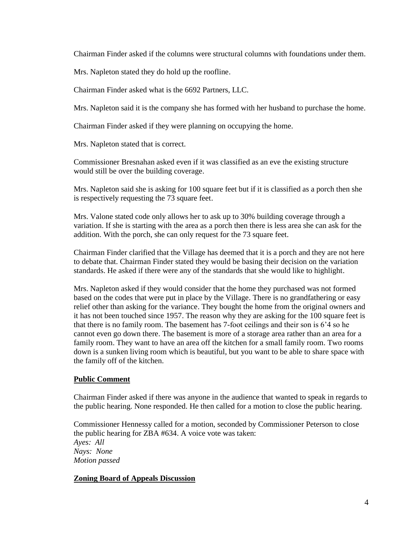Chairman Finder asked if the columns were structural columns with foundations under them.

Mrs. Napleton stated they do hold up the roofline.

Chairman Finder asked what is the 6692 Partners, LLC.

Mrs. Napleton said it is the company she has formed with her husband to purchase the home.

Chairman Finder asked if they were planning on occupying the home.

Mrs. Napleton stated that is correct.

Commissioner Bresnahan asked even if it was classified as an eve the existing structure would still be over the building coverage.

Mrs. Napleton said she is asking for 100 square feet but if it is classified as a porch then she is respectively requesting the 73 square feet.

Mrs. Valone stated code only allows her to ask up to 30% building coverage through a variation. If she is starting with the area as a porch then there is less area she can ask for the addition. With the porch, she can only request for the 73 square feet.

Chairman Finder clarified that the Village has deemed that it is a porch and they are not here to debate that. Chairman Finder stated they would be basing their decision on the variation standards. He asked if there were any of the standards that she would like to highlight.

Mrs. Napleton asked if they would consider that the home they purchased was not formed based on the codes that were put in place by the Village. There is no grandfathering or easy relief other than asking for the variance. They bought the home from the original owners and it has not been touched since 1957. The reason why they are asking for the 100 square feet is that there is no family room. The basement has 7-foot ceilings and their son is 6'4 so he cannot even go down there. The basement is more of a storage area rather than an area for a family room. They want to have an area off the kitchen for a small family room. Two rooms down is a sunken living room which is beautiful, but you want to be able to share space with the family off of the kitchen.

### **Public Comment**

Chairman Finder asked if there was anyone in the audience that wanted to speak in regards to the public hearing. None responded. He then called for a motion to close the public hearing.

Commissioner Hennessy called for a motion, seconded by Commissioner Peterson to close the public hearing for ZBA #634. A voice vote was taken: *Ayes: All Nays: None Motion passed*

### **Zoning Board of Appeals Discussion**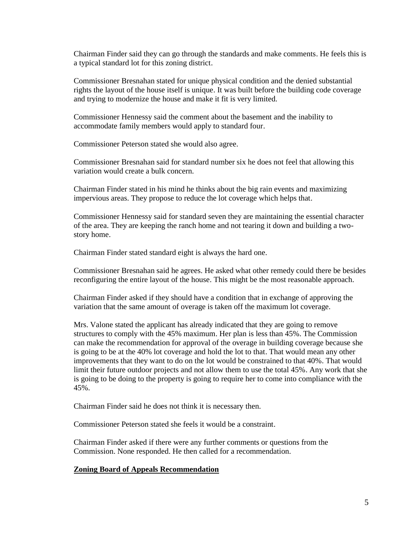Chairman Finder said they can go through the standards and make comments. He feels this is a typical standard lot for this zoning district.

Commissioner Bresnahan stated for unique physical condition and the denied substantial rights the layout of the house itself is unique. It was built before the building code coverage and trying to modernize the house and make it fit is very limited.

Commissioner Hennessy said the comment about the basement and the inability to accommodate family members would apply to standard four.

Commissioner Peterson stated she would also agree.

Commissioner Bresnahan said for standard number six he does not feel that allowing this variation would create a bulk concern.

Chairman Finder stated in his mind he thinks about the big rain events and maximizing impervious areas. They propose to reduce the lot coverage which helps that.

Commissioner Hennessy said for standard seven they are maintaining the essential character of the area. They are keeping the ranch home and not tearing it down and building a twostory home.

Chairman Finder stated standard eight is always the hard one.

Commissioner Bresnahan said he agrees. He asked what other remedy could there be besides reconfiguring the entire layout of the house. This might be the most reasonable approach.

Chairman Finder asked if they should have a condition that in exchange of approving the variation that the same amount of overage is taken off the maximum lot coverage.

Mrs. Valone stated the applicant has already indicated that they are going to remove structures to comply with the 45% maximum. Her plan is less than 45%. The Commission can make the recommendation for approval of the overage in building coverage because she is going to be at the 40% lot coverage and hold the lot to that. That would mean any other improvements that they want to do on the lot would be constrained to that 40%. That would limit their future outdoor projects and not allow them to use the total 45%. Any work that she is going to be doing to the property is going to require her to come into compliance with the 45%.

Chairman Finder said he does not think it is necessary then.

Commissioner Peterson stated she feels it would be a constraint.

Chairman Finder asked if there were any further comments or questions from the Commission. None responded. He then called for a recommendation.

#### **Zoning Board of Appeals Recommendation**